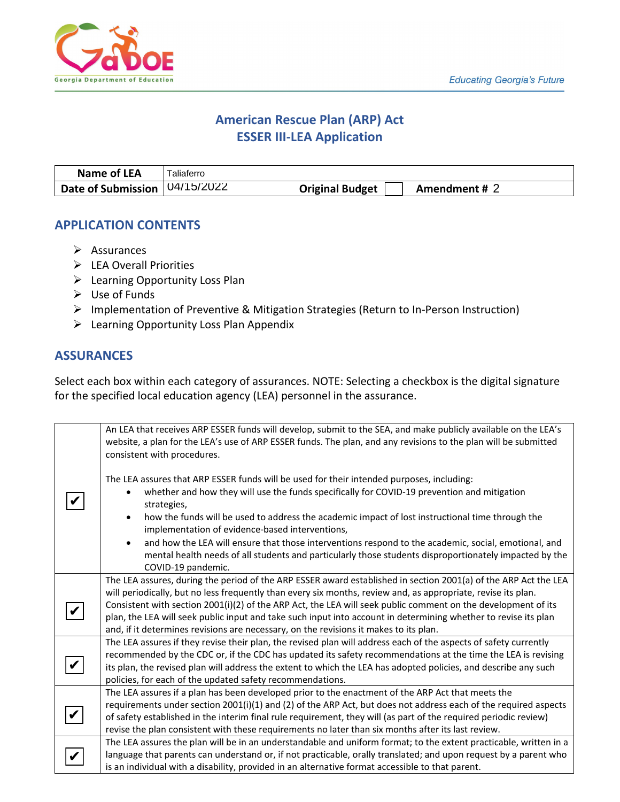

# **American Rescue Plan (ARP) Act ESSER III-LEA Application**

| Name of LEA                       | Taliaferro |                        |               |  |
|-----------------------------------|------------|------------------------|---------------|--|
| Date of Submission $(04/15/2022)$ |            | <b>Original Budget</b> | Amendment # 2 |  |

# **APPLICATION CONTENTS**

- $\triangleright$  Assurances
- $\triangleright$  LEA Overall Priorities
- ▶ Learning Opportunity Loss Plan
- $\triangleright$  Use of Funds
- Implementation of Preventive & Mitigation Strategies (Return to In-Person Instruction)
- Learning Opportunity Loss Plan Appendix

# **ASSURANCES**

Select each box within each category of assurances. NOTE: Selecting a checkbox is the digital signature for the specified local education agency (LEA) personnel in the assurance.

|   | An LEA that receives ARP ESSER funds will develop, submit to the SEA, and make publicly available on the LEA's<br>website, a plan for the LEA's use of ARP ESSER funds. The plan, and any revisions to the plan will be submitted<br>consistent with procedures. |
|---|------------------------------------------------------------------------------------------------------------------------------------------------------------------------------------------------------------------------------------------------------------------|
|   | The LEA assures that ARP ESSER funds will be used for their intended purposes, including:                                                                                                                                                                        |
|   | whether and how they will use the funds specifically for COVID-19 prevention and mitigation<br>strategies,                                                                                                                                                       |
|   | how the funds will be used to address the academic impact of lost instructional time through the<br>implementation of evidence-based interventions,                                                                                                              |
|   | and how the LEA will ensure that those interventions respond to the academic, social, emotional, and<br>$\bullet$                                                                                                                                                |
|   | mental health needs of all students and particularly those students disproportionately impacted by the                                                                                                                                                           |
|   | COVID-19 pandemic.                                                                                                                                                                                                                                               |
|   | The LEA assures, during the period of the ARP ESSER award established in section 2001(a) of the ARP Act the LEA                                                                                                                                                  |
|   | will periodically, but no less frequently than every six months, review and, as appropriate, revise its plan.                                                                                                                                                    |
|   | Consistent with section 2001(i)(2) of the ARP Act, the LEA will seek public comment on the development of its                                                                                                                                                    |
|   | plan, the LEA will seek public input and take such input into account in determining whether to revise its plan                                                                                                                                                  |
|   | and, if it determines revisions are necessary, on the revisions it makes to its plan.                                                                                                                                                                            |
|   | The LEA assures if they revise their plan, the revised plan will address each of the aspects of safety currently                                                                                                                                                 |
|   | recommended by the CDC or, if the CDC has updated its safety recommendations at the time the LEA is revising                                                                                                                                                     |
| V | its plan, the revised plan will address the extent to which the LEA has adopted policies, and describe any such                                                                                                                                                  |
|   | policies, for each of the updated safety recommendations.                                                                                                                                                                                                        |
|   | The LEA assures if a plan has been developed prior to the enactment of the ARP Act that meets the                                                                                                                                                                |
|   | requirements under section 2001(i)(1) and (2) of the ARP Act, but does not address each of the required aspects                                                                                                                                                  |
|   | of safety established in the interim final rule requirement, they will (as part of the required periodic review)                                                                                                                                                 |
|   | revise the plan consistent with these requirements no later than six months after its last review.                                                                                                                                                               |
|   | The LEA assures the plan will be in an understandable and uniform format; to the extent practicable, written in a                                                                                                                                                |
|   | language that parents can understand or, if not practicable, orally translated; and upon request by a parent who                                                                                                                                                 |
|   | is an individual with a disability, provided in an alternative format accessible to that parent.                                                                                                                                                                 |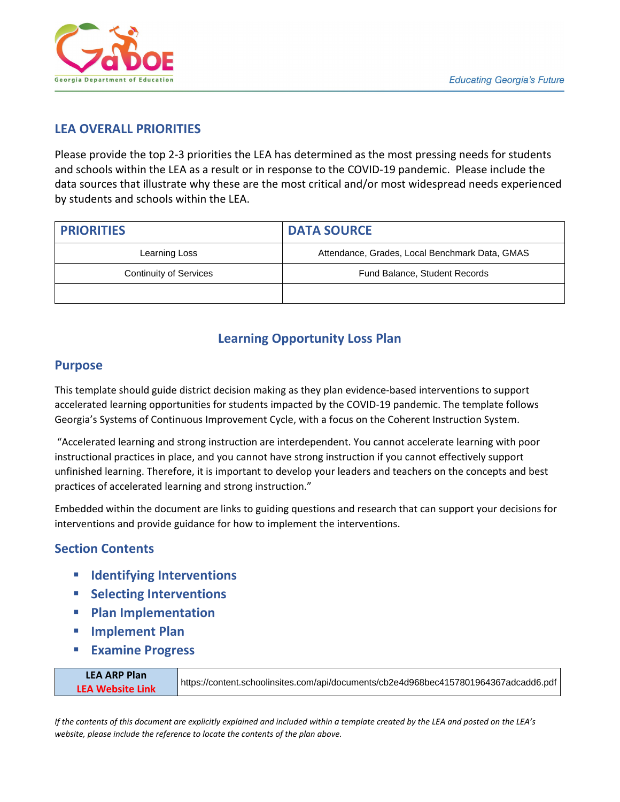

# **LEA OVERALL PRIORITIES**

Please provide the top 2-3 priorities the LEA has determined as the most pressing needs for students and schools within the LEA as a result or in response to the COVID-19 pandemic. Please include the data sources that illustrate why these are the most critical and/or most widespread needs experienced by students and schools within the LEA.

| <b>PRIORITIES</b>             | <b>DATA SOURCE</b>                             |  |
|-------------------------------|------------------------------------------------|--|
| Learning Loss                 | Attendance, Grades, Local Benchmark Data, GMAS |  |
| <b>Continuity of Services</b> | Fund Balance, Student Records                  |  |
|                               |                                                |  |

# **Learning Opportunity Loss Plan**

# **Purpose**

This template should guide district decision making as they plan evidence-based interventions to support accelerated learning opportunities for students impacted by the COVID-19 pandemic. The template follows Georgia's Systems of Continuous Improvement Cycle, with a focus on the Coherent Instruction System.

"Accelerated learning and strong instruction are interdependent. You cannot accelerate learning with poor instructional practices in place, and you cannot have strong instruction if you cannot effectively support unfinished learning. Therefore, it is important to develop your leaders and teachers on the concepts and best practices of accelerated learning and strong instruction."

Embedded within the document are links to guiding questions and research that can support your decisions for interventions and provide guidance for how to implement the interventions.

# **Section Contents**

- **Identifying Interventions**
- **Selecting Interventions**
- **Plan Implementation**
- **Implement Plan**
- **Examine Progress**

| <b>LEA ARP Plan</b>     |                                                                                      |
|-------------------------|--------------------------------------------------------------------------------------|
| <b>LEA Website Link</b> | https://content.schoolinsites.com/api/documents/cb2e4d968bec4157801964367adcadd6.pdf |
|                         |                                                                                      |

*If the contents of this document are explicitly explained and included within a template created by the LEA and posted on the LEA's website, please include the reference to locate the contents of the plan above.*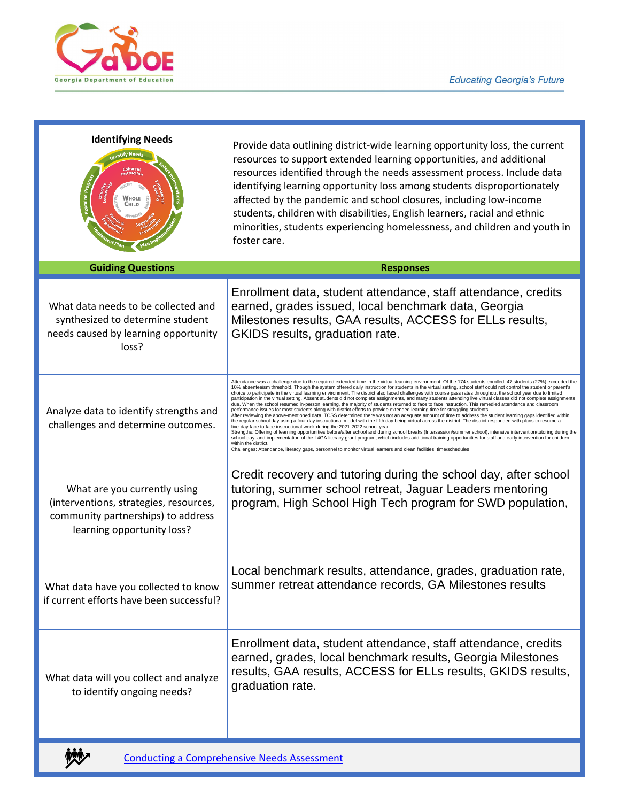

| <b>Identifying Needs</b><br>ntify Needs<br>Coherent<br>Instructio <sub>r</sub><br>xamine Pro<br>Nhole<br>Снігр                             | Provide data outlining district-wide learning opportunity loss, the current<br>resources to support extended learning opportunities, and additional<br>resources identified through the needs assessment process. Include data<br>identifying learning opportunity loss among students disproportionately<br>affected by the pandemic and school closures, including low-income<br>students, children with disabilities, English learners, racial and ethnic<br>minorities, students experiencing homelessness, and children and youth in<br>foster care.                                                                                                                                                                                                                                                                                                                                                                                                                                                                                                                                                                                                                                                                                                                                                                                                                                                                                                                                                                                                                                                                                                                                                                                                                                                                                                                   |
|--------------------------------------------------------------------------------------------------------------------------------------------|-----------------------------------------------------------------------------------------------------------------------------------------------------------------------------------------------------------------------------------------------------------------------------------------------------------------------------------------------------------------------------------------------------------------------------------------------------------------------------------------------------------------------------------------------------------------------------------------------------------------------------------------------------------------------------------------------------------------------------------------------------------------------------------------------------------------------------------------------------------------------------------------------------------------------------------------------------------------------------------------------------------------------------------------------------------------------------------------------------------------------------------------------------------------------------------------------------------------------------------------------------------------------------------------------------------------------------------------------------------------------------------------------------------------------------------------------------------------------------------------------------------------------------------------------------------------------------------------------------------------------------------------------------------------------------------------------------------------------------------------------------------------------------------------------------------------------------------------------------------------------------|
| <b>Guiding Questions</b>                                                                                                                   | <b>Responses</b>                                                                                                                                                                                                                                                                                                                                                                                                                                                                                                                                                                                                                                                                                                                                                                                                                                                                                                                                                                                                                                                                                                                                                                                                                                                                                                                                                                                                                                                                                                                                                                                                                                                                                                                                                                                                                                                            |
| What data needs to be collected and<br>synthesized to determine student<br>needs caused by learning opportunity<br>loss?                   | Enrollment data, student attendance, staff attendance, credits<br>earned, grades issued, local benchmark data, Georgia<br>Milestones results, GAA results, ACCESS for ELLs results,<br>GKIDS results, graduation rate.                                                                                                                                                                                                                                                                                                                                                                                                                                                                                                                                                                                                                                                                                                                                                                                                                                                                                                                                                                                                                                                                                                                                                                                                                                                                                                                                                                                                                                                                                                                                                                                                                                                      |
| Analyze data to identify strengths and<br>challenges and determine outcomes.                                                               | Attendance was a challenge due to the required extended time in the virtual learning environment. Of the 174 students enrolled, 47 students (27%) exceeded the<br>10% absenteeism threshold. Though the system offered daily instruction for students in the virtual setting, school staff could not control the student or parent's<br>choice to participate in the virtual learning environment. The district also faced challenges with course pass rates throughout the school year due to limited<br>participation in the virtual setting. Absent students did not complete assignments, and many students attending live virtual classes did not complete assignments<br>due. When the school resumed in-person learning, the majority of students returned to face to face instruction. This remedied attendance and classroom<br>performance issues for most students along with district efforts to provide extended learning time for struggling students.<br>After reviewing the above-mentioned data, TCSS determined there was not an adequate amount of time to address the student learning gaps identified within<br>the regular school day using a four day instructional model with the fifth day being virtual across the district. The district responded with plans to resume a<br>five-day face to face instructional week during the 2021-2022 school year.<br>Strengths: Offering of learning opportunities before/after school and during school breaks (Intersession/summer school), intensive intervention/tutoring during the<br>school day, and implementation of the L4GA literacy grant program, which includes additional training opportunities for staff and early intervention for children<br>within the district.<br>Challenges: Attendance, literacy gaps, personnel to monitor virtual learners and clean facilities, time/schedules |
| What are you currently using<br>(interventions, strategies, resources,<br>community partnerships) to address<br>learning opportunity loss? | Credit recovery and tutoring during the school day, after school<br>tutoring, summer school retreat, Jaguar Leaders mentoring<br>program, High School High Tech program for SWD population,                                                                                                                                                                                                                                                                                                                                                                                                                                                                                                                                                                                                                                                                                                                                                                                                                                                                                                                                                                                                                                                                                                                                                                                                                                                                                                                                                                                                                                                                                                                                                                                                                                                                                 |
| What data have you collected to know<br>if current efforts have been successful?                                                           | Local benchmark results, attendance, grades, graduation rate,<br>summer retreat attendance records, GA Milestones results                                                                                                                                                                                                                                                                                                                                                                                                                                                                                                                                                                                                                                                                                                                                                                                                                                                                                                                                                                                                                                                                                                                                                                                                                                                                                                                                                                                                                                                                                                                                                                                                                                                                                                                                                   |
| What data will you collect and analyze<br>to identify ongoing needs?                                                                       | Enrollment data, student attendance, staff attendance, credits<br>earned, grades, local benchmark results, Georgia Milestones<br>results, GAA results, ACCESS for ELLs results, GKIDS results,<br>graduation rate.                                                                                                                                                                                                                                                                                                                                                                                                                                                                                                                                                                                                                                                                                                                                                                                                                                                                                                                                                                                                                                                                                                                                                                                                                                                                                                                                                                                                                                                                                                                                                                                                                                                          |

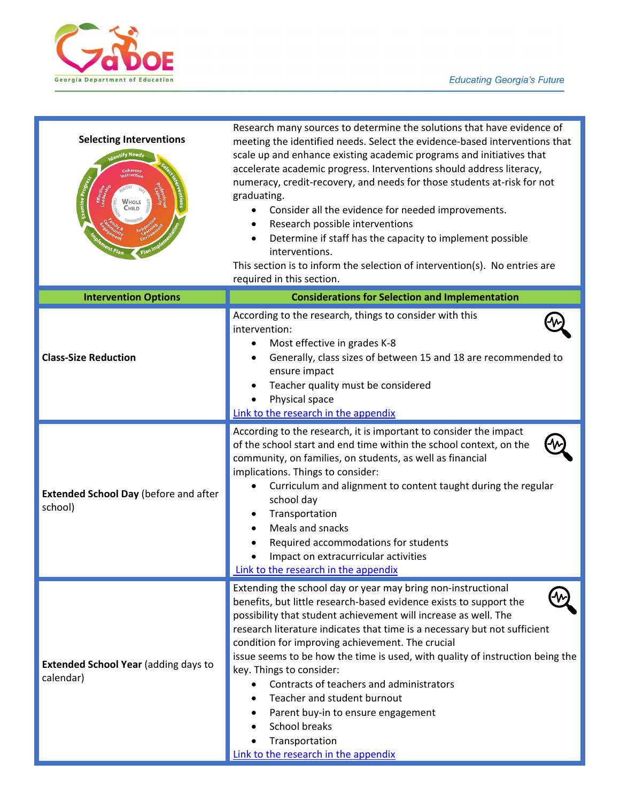

| <b>Selecting Interventions</b><br><b>Aentify Needs</b><br>nstruction<br>Examine Prog<br>Whole<br>Сніцр | Research many sources to determine the solutions that have evidence of<br>meeting the identified needs. Select the evidence-based interventions that<br>scale up and enhance existing academic programs and initiatives that<br>accelerate academic progress. Interventions should address literacy,<br>numeracy, credit-recovery, and needs for those students at-risk for not<br>graduating.<br>Consider all the evidence for needed improvements.<br>Research possible interventions<br>Determine if staff has the capacity to implement possible<br>interventions.<br>This section is to inform the selection of intervention(s). No entries are<br>required in this section. |
|--------------------------------------------------------------------------------------------------------|-----------------------------------------------------------------------------------------------------------------------------------------------------------------------------------------------------------------------------------------------------------------------------------------------------------------------------------------------------------------------------------------------------------------------------------------------------------------------------------------------------------------------------------------------------------------------------------------------------------------------------------------------------------------------------------|
| <b>Intervention Options</b>                                                                            | <b>Considerations for Selection and Implementation</b>                                                                                                                                                                                                                                                                                                                                                                                                                                                                                                                                                                                                                            |
| <b>Class-Size Reduction</b>                                                                            | According to the research, things to consider with this<br>intervention:<br>Most effective in grades K-8<br>Generally, class sizes of between 15 and 18 are recommended to<br>ensure impact<br>Teacher quality must be considered<br>Physical space<br>Link to the research in the appendix                                                                                                                                                                                                                                                                                                                                                                                       |
| <b>Extended School Day (before and after</b><br>school)                                                | According to the research, it is important to consider the impact<br>of the school start and end time within the school context, on the<br>community, on families, on students, as well as financial<br>implications. Things to consider:<br>Curriculum and alignment to content taught during the regular<br>school day<br>Transportation<br>Meals and snacks<br>Required accommodations for students<br>Impact on extracurricular activities<br>Link to the research in the appendix                                                                                                                                                                                            |
| <b>Extended School Year (adding days to</b><br>calendar)                                               | Extending the school day or year may bring non-instructional<br>benefits, but little research-based evidence exists to support the<br>possibility that student achievement will increase as well. The<br>research literature indicates that time is a necessary but not sufficient<br>condition for improving achievement. The crucial<br>issue seems to be how the time is used, with quality of instruction being the<br>key. Things to consider:<br>Contracts of teachers and administrators<br>Teacher and student burnout<br>Parent buy-in to ensure engagement<br>School breaks<br>Transportation<br>Link to the research in the appendix                                   |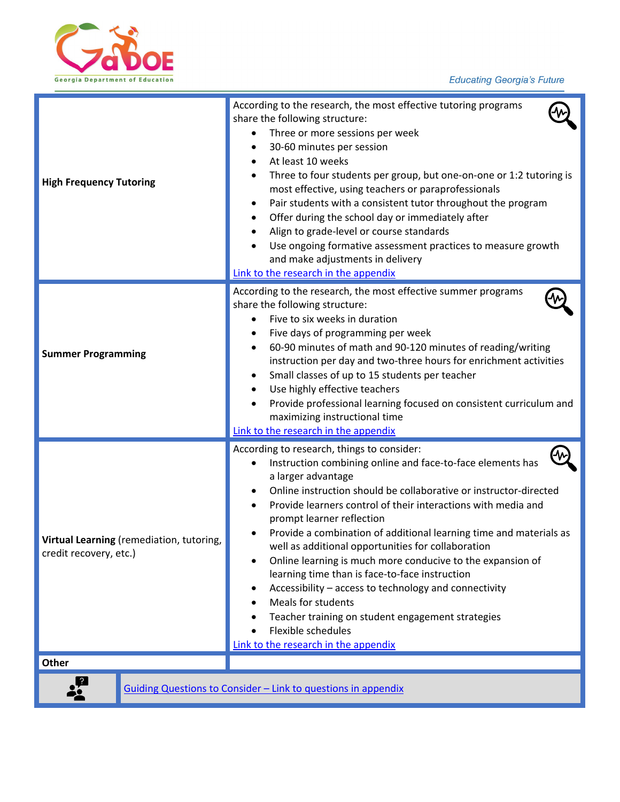

| <b>High Frequency Tutoring</b>                                     | According to the research, the most effective tutoring programs<br>share the following structure:<br>Three or more sessions per week<br>30-60 minutes per session<br>At least 10 weeks<br>Three to four students per group, but one-on-one or 1:2 tutoring is<br>most effective, using teachers or paraprofessionals<br>Pair students with a consistent tutor throughout the program<br>$\bullet$<br>Offer during the school day or immediately after<br>Align to grade-level or course standards<br>Use ongoing formative assessment practices to measure growth<br>and make adjustments in delivery<br>Link to the research in the appendix                                                                                                          |
|--------------------------------------------------------------------|--------------------------------------------------------------------------------------------------------------------------------------------------------------------------------------------------------------------------------------------------------------------------------------------------------------------------------------------------------------------------------------------------------------------------------------------------------------------------------------------------------------------------------------------------------------------------------------------------------------------------------------------------------------------------------------------------------------------------------------------------------|
| <b>Summer Programming</b>                                          | According to the research, the most effective summer programs<br>share the following structure:<br>Five to six weeks in duration<br>Five days of programming per week<br>60-90 minutes of math and 90-120 minutes of reading/writing<br>instruction per day and two-three hours for enrichment activities<br>Small classes of up to 15 students per teacher<br>Use highly effective teachers<br>Provide professional learning focused on consistent curriculum and<br>maximizing instructional time<br>Link to the research in the appendix                                                                                                                                                                                                            |
| Virtual Learning (remediation, tutoring,<br>credit recovery, etc.) | According to research, things to consider:<br>Instruction combining online and face-to-face elements has<br>a larger advantage<br>Online instruction should be collaborative or instructor-directed<br>Provide learners control of their interactions with media and<br>prompt learner reflection<br>Provide a combination of additional learning time and materials as<br>well as additional opportunities for collaboration<br>Online learning is much more conducive to the expansion of<br>learning time than is face-to-face instruction<br>Accessibility - access to technology and connectivity<br><b>Meals for students</b><br>Teacher training on student engagement strategies<br>Flexible schedules<br>Link to the research in the appendix |
| Other                                                              |                                                                                                                                                                                                                                                                                                                                                                                                                                                                                                                                                                                                                                                                                                                                                        |
|                                                                    | Guiding Questions to Consider - Link to questions in appendix                                                                                                                                                                                                                                                                                                                                                                                                                                                                                                                                                                                                                                                                                          |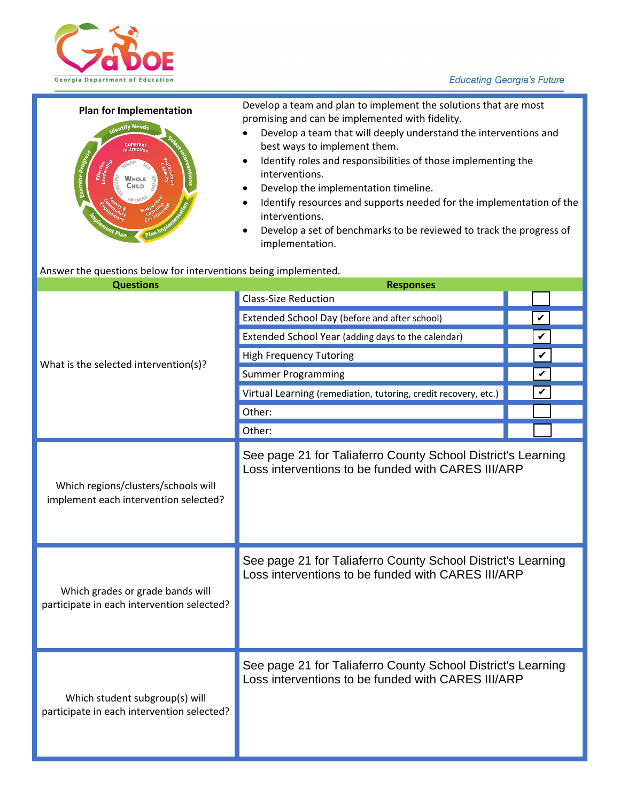



**Plan for Implementation** Develop a team and plan to implement the solutions that are most promising and can be implemented with fidelity.

- Develop a team that will deeply understand the interventions and best ways to implement them.
- Identify roles and responsibilities of those implementing the interventions.
- Develop the implementation timeline.
- Identify resources and supports needed for the implementation of the interventions.
- Develop a set of benchmarks to be reviewed to track the progress of implementation.

#### Answer the questions below for interventions being implemented.

| <b>Questions</b>                                                               | <b>Responses</b>                                                                                                   |  |   |  |
|--------------------------------------------------------------------------------|--------------------------------------------------------------------------------------------------------------------|--|---|--|
|                                                                                | <b>Class-Size Reduction</b>                                                                                        |  |   |  |
|                                                                                | Extended School Day (before and after school)                                                                      |  | V |  |
|                                                                                | Extended School Year (adding days to the calendar)                                                                 |  | V |  |
| What is the selected intervention(s)?                                          | <b>High Frequency Tutoring</b>                                                                                     |  | V |  |
|                                                                                | <b>Summer Programming</b>                                                                                          |  | V |  |
|                                                                                | Virtual Learning (remediation, tutoring, credit recovery, etc.)                                                    |  | V |  |
|                                                                                | Other:                                                                                                             |  |   |  |
|                                                                                | Other:                                                                                                             |  |   |  |
| Which regions/clusters/schools will<br>implement each intervention selected?   | See page 21 for Taliaferro County School District's Learning<br>Loss interventions to be funded with CARES III/ARP |  |   |  |
| Which grades or grade bands will<br>participate in each intervention selected? | See page 21 for Taliaferro County School District's Learning<br>Loss interventions to be funded with CARES III/ARP |  |   |  |
| Which student subgroup(s) will<br>participate in each intervention selected?   | See page 21 for Taliaferro County School District's Learning<br>Loss interventions to be funded with CARES III/ARP |  |   |  |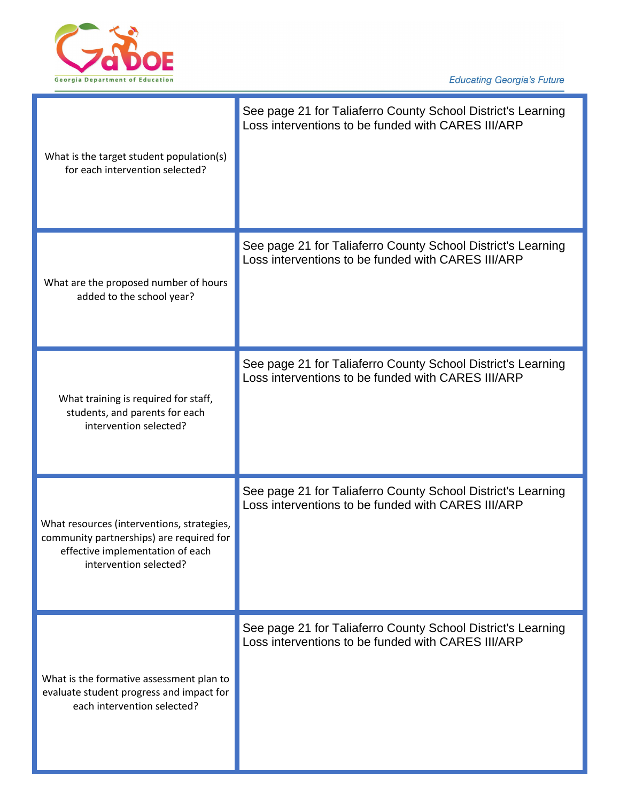

| What is the target student population(s)<br>for each intervention selected?                                                                          | See page 21 for Taliaferro County School District's Learning<br>Loss interventions to be funded with CARES III/ARP |
|------------------------------------------------------------------------------------------------------------------------------------------------------|--------------------------------------------------------------------------------------------------------------------|
| What are the proposed number of hours<br>added to the school year?                                                                                   | See page 21 for Taliaferro County School District's Learning<br>Loss interventions to be funded with CARES III/ARP |
| What training is required for staff,<br>students, and parents for each<br>intervention selected?                                                     | See page 21 for Taliaferro County School District's Learning<br>Loss interventions to be funded with CARES III/ARP |
| What resources (interventions, strategies,<br>community partnerships) are required for<br>effective implementation of each<br>intervention selected? | See page 21 for Taliaferro County School District's Learning<br>Loss interventions to be funded with CARES III/ARP |
| What is the formative assessment plan to<br>evaluate student progress and impact for<br>each intervention selected?                                  | See page 21 for Taliaferro County School District's Learning<br>Loss interventions to be funded with CARES III/ARP |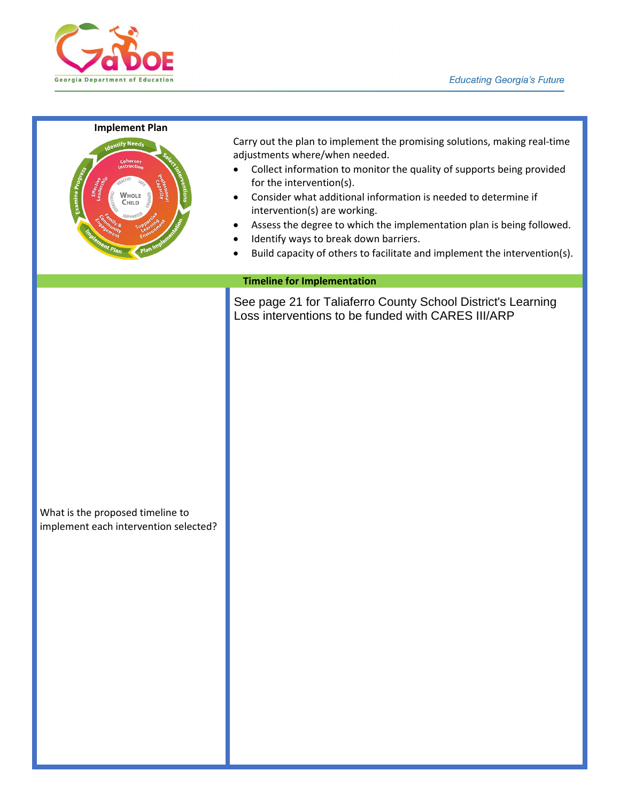

#### **Implement Plan**



Carry out the plan to implement the promising solutions, making real-time adjustments where/when needed.

- Collect information to monitor the quality of supports being provided for the intervention(s).
- Consider what additional information is needed to determine if intervention(s) are working.
- Assess the degree to which the implementation plan is being followed.
- Identify ways to break down barriers.
- Build capacity of others to facilitate and implement the intervention(s).

#### **Timeline for Implementation**

See page 21 for Taliaferro County School District's Learning Loss interventions to be funded with CARES III/ARP

What is the proposed timeline to implement each intervention selected?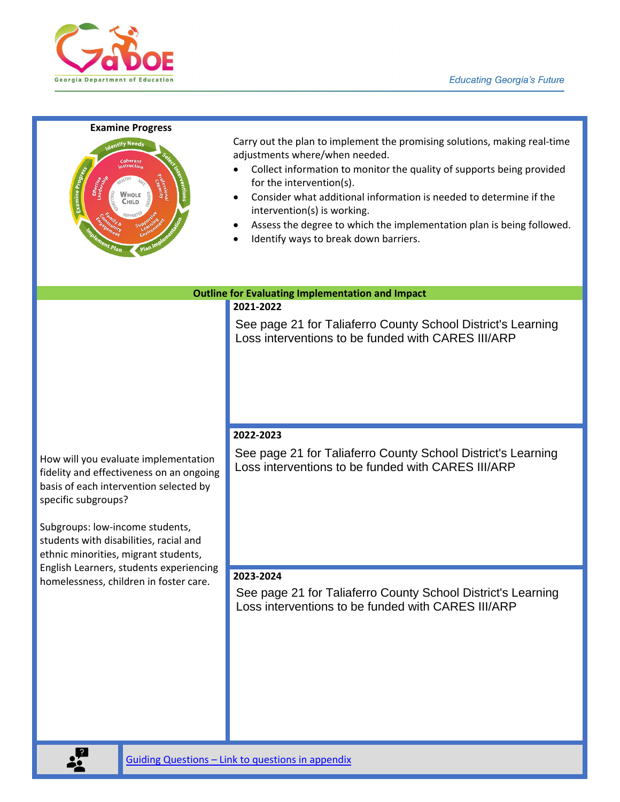

#### **Examine Progress**



Carry out the plan to implement the promising solutions, making real-time adjustments where/when needed.

- Collect information to monitor the quality of supports being provided for the intervention(s).
- Consider what additional information is needed to determine if the intervention(s) is working.
- Assess the degree to which the implementation plan is being followed.
- Identify ways to break down barriers.

**Outline for Evaluating Implementation and Impact**

## **2021-2022**

See page 21 for Taliaferro County School District's Learning Loss interventions to be funded with CARES III/ARP

How will you evaluate implementation fidelity and effectiveness on an ongoing basis of each intervention selected by specific subgroups?

Subgroups: low-income students, students with disabilities, racial and ethnic minorities, migrant students, English Learners, students experiencing homelessness, children in foster care.

### **2022-2023**

See page 21 for Taliaferro County School District's Learning Loss interventions to be funded with CARES III/ARP

#### **2023-2024**

See page 21 for Taliaferro County School District's Learning Loss interventions to be funded with CARES III/ARP

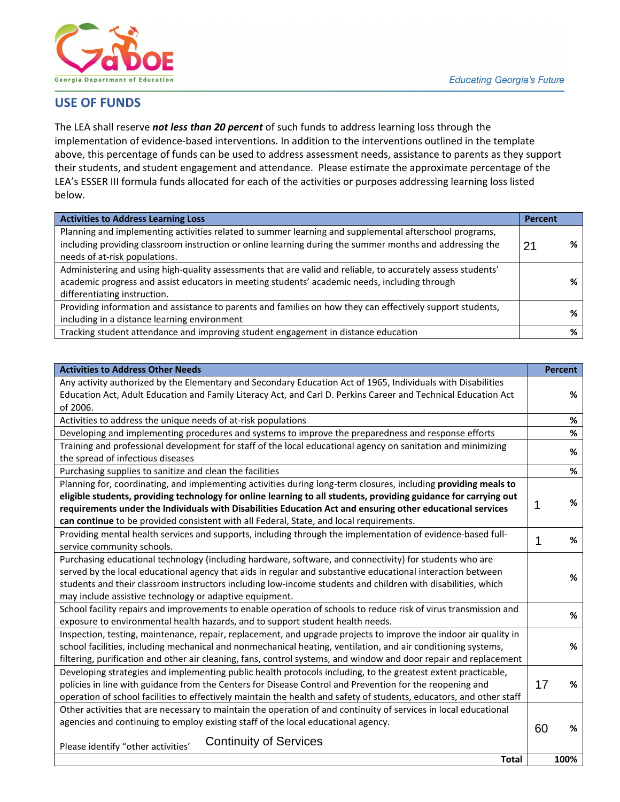

# **USE OF FUNDS**

The LEA shall reserve *not less than 20 percent* of such funds to address learning loss through the implementation of evidence-based interventions. In addition to the interventions outlined in the template above, this percentage of funds can be used to address assessment needs, assistance to parents as they support their students, and student engagement and attendance. Please estimate the approximate percentage of the LEA's ESSER III formula funds allocated for each of the activities or purposes addressing learning loss listed below.

| <b>Activities to Address Learning Loss</b>                                                                                                                                                                                                          | <b>Percent</b> |   |
|-----------------------------------------------------------------------------------------------------------------------------------------------------------------------------------------------------------------------------------------------------|----------------|---|
| Planning and implementing activities related to summer learning and supplemental afterschool programs,<br>including providing classroom instruction or online learning during the summer months and addressing the<br>needs of at-risk populations. | 2 <sup>1</sup> |   |
| Administering and using high-quality assessments that are valid and reliable, to accurately assess students'<br>academic progress and assist educators in meeting students' academic needs, including through<br>differentiating instruction.       |                |   |
| Providing information and assistance to parents and families on how they can effectively support students,<br>including in a distance learning environment                                                                                          |                |   |
| Tracking student attendance and improving student engagement in distance education                                                                                                                                                                  |                | % |

| including providing classroom instruction or online learning during the summer months and addressing the             | 21          | %              |
|----------------------------------------------------------------------------------------------------------------------|-------------|----------------|
| needs of at-risk populations.                                                                                        |             |                |
| Administering and using high-quality assessments that are valid and reliable, to accurately assess students'         |             | %              |
| academic progress and assist educators in meeting students' academic needs, including through                        |             |                |
| differentiating instruction.                                                                                         |             |                |
| Providing information and assistance to parents and families on how they can effectively support students,           |             | %              |
| including in a distance learning environment                                                                         |             |                |
| Tracking student attendance and improving student engagement in distance education                                   |             | %              |
|                                                                                                                      |             |                |
| <b>Activities to Address Other Needs</b>                                                                             |             | <b>Percent</b> |
| Any activity authorized by the Elementary and Secondary Education Act of 1965, Individuals with Disabilities         |             |                |
|                                                                                                                      |             | %              |
| Education Act, Adult Education and Family Literacy Act, and Carl D. Perkins Career and Technical Education Act       |             |                |
| of 2006.                                                                                                             |             |                |
| Activities to address the unique needs of at-risk populations                                                        |             | %              |
| Developing and implementing procedures and systems to improve the preparedness and response efforts                  |             | $\%$           |
| Training and professional development for staff of the local educational agency on sanitation and minimizing         |             | $\%$           |
| the spread of infectious diseases                                                                                    |             |                |
| Purchasing supplies to sanitize and clean the facilities                                                             |             | %              |
| Planning for, coordinating, and implementing activities during long-term closures, including providing meals to      |             |                |
| eligible students, providing technology for online learning to all students, providing guidance for carrying out     |             | %              |
| requirements under the Individuals with Disabilities Education Act and ensuring other educational services           | 1           |                |
| can continue to be provided consistent with all Federal, State, and local requirements.                              |             |                |
| Providing mental health services and supports, including through the implementation of evidence-based full-          | $\mathbf 1$ | %              |
| service community schools.                                                                                           |             |                |
| Purchasing educational technology (including hardware, software, and connectivity) for students who are              |             |                |
| served by the local educational agency that aids in regular and substantive educational interaction between          |             | %              |
| students and their classroom instructors including low-income students and children with disabilities, which         |             |                |
| may include assistive technology or adaptive equipment.                                                              |             |                |
| School facility repairs and improvements to enable operation of schools to reduce risk of virus transmission and     |             | %              |
| exposure to environmental health hazards, and to support student health needs.                                       |             |                |
| Inspection, testing, maintenance, repair, replacement, and upgrade projects to improve the indoor air quality in     |             |                |
| school facilities, including mechanical and nonmechanical heating, ventilation, and air conditioning systems,        |             | %              |
| filtering, purification and other air cleaning, fans, control systems, and window and door repair and replacement    |             |                |
| Developing strategies and implementing public health protocols including, to the greatest extent practicable,        |             |                |
| policies in line with guidance from the Centers for Disease Control and Prevention for the reopening and             | 17          | %              |
| operation of school facilities to effectively maintain the health and safety of students, educators, and other staff |             |                |
| Other activities that are necessary to maintain the operation of and continuity of services in local educational     |             |                |
| agencies and continuing to employ existing staff of the local educational agency.                                    |             |                |
|                                                                                                                      | 60          | %              |
| <b>Continuity of Services</b><br>Please identify "other activities'                                                  |             |                |
| <b>Total</b>                                                                                                         |             | 100%           |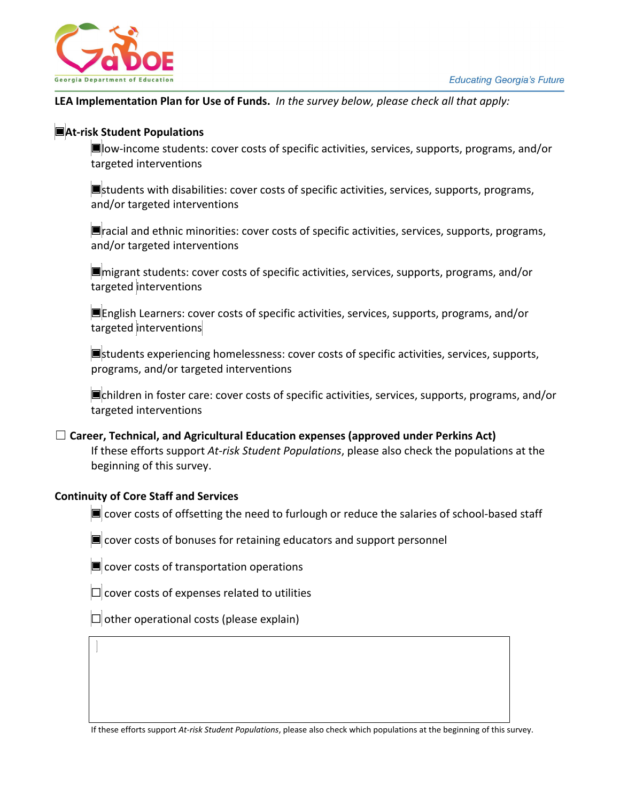

## **LEA Implementation Plan for Use of Funds.** *In the survey below, please check all that apply:*

## ☐**At-risk Student Populations**

☐low-income students: cover costs of specific activities, services, supports, programs, and/or targeted interventions

**■**students with disabilities: cover costs of specific activities, services, supports, programs, and/or targeted interventions

☐racial and ethnic minorities: cover costs of specific activities, services, supports, programs, and/or targeted interventions

☐migrant students: cover costs of specific activities, services, supports, programs, and/or targeted interventions

☐English Learners: cover costs of specific activities, services, supports, programs, and/or targeted interventions

☐students experiencing homelessness: cover costs of specific activities, services, supports, programs, and/or targeted interventions

☐children in foster care: cover costs of specific activities, services, supports, programs, and/or targeted interventions

☐ **Career, Technical, and Agricultural Education expenses (approved under Perkins Act)** If these efforts support *At-risk Student Populations*, please also check the populations at the beginning of this survey.

## **Continuity of Core Staff and Services**

 $\blacksquare$  cover costs of offsetting the need to furlough or reduce the salaries of school-based staff

 $\blacksquare$  cover costs of bonuses for retaining educators and support personnel

 $\blacksquare$  cover costs of transportation operations

 $\Box$  cover costs of expenses related to utilities

 $\Box$  other operational costs (please explain)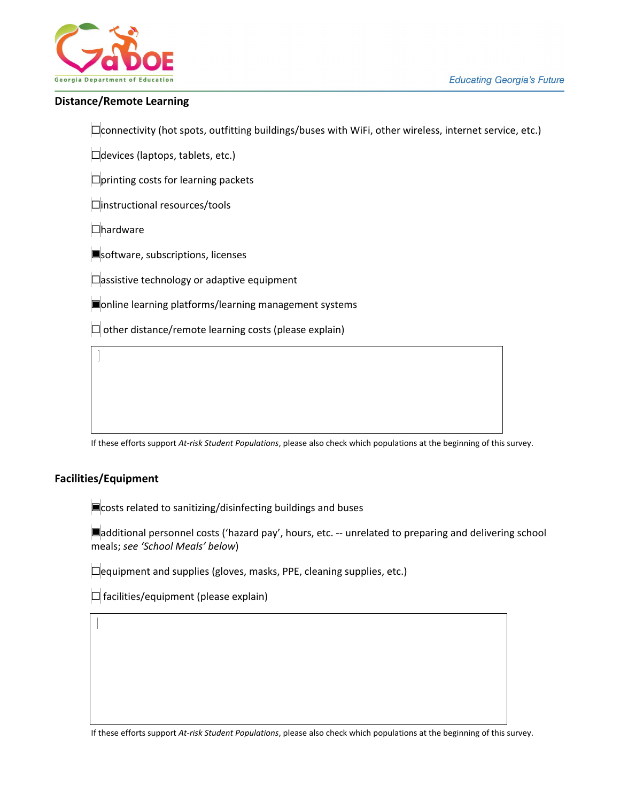

### **Distance/Remote Learning**

☐connectivity (hot spots, outfitting buildings/buses with WiFi, other wireless, internet service, etc.)

 $\Box$ devices (laptops, tablets, etc.)

 $\Box$ printing costs for learning packets

☐instructional resources/tools

☐hardware

**■**software, subscriptions, licenses

 $\Box$ assistive technology or adaptive equipment

☐online learning platforms/learning management systems

 $\Box$  other distance/remote learning costs (please explain)

If these efforts support *At-risk Student Populations*, please also check which populations at the beginning of this survey.

## **Facilities/Equipment**

**■**costs related to sanitizing/disinfecting buildings and buses

☐additional personnel costs ('hazard pay', hours, etc. -- unrelated to preparing and delivering school meals; *see 'School Meals' below*)

☐equipment and supplies (gloves, masks, PPE, cleaning supplies, etc.)

 $\Box$  facilities/equipment (please explain)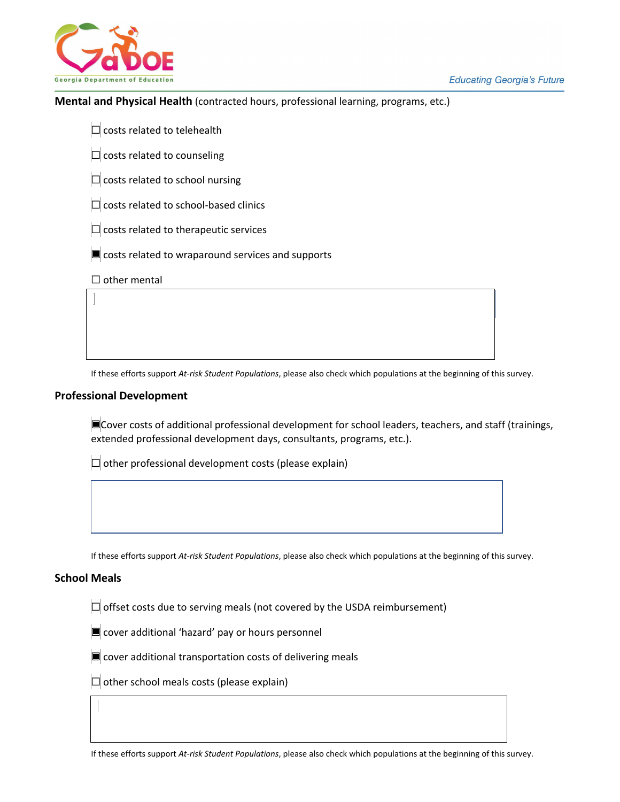

#### **Mental and Physical Health** (contracted hours, professional learning, programs, etc.)

 $\Box$  costs related to telehealth

 $\Box$  costs related to counseling

 $\Box$  costs related to school nursing

 $\Box$  costs related to school-based clinics

 $\Box$  costs related to therapeutic services

**□** costs related to wraparound services and supports

□ other mental

If these efforts support *At-risk Student Populations*, please also check which populations at the beginning of this survey.

#### **Professional Development**

☐Cover costs of additional professional development for school leaders, teachers, and staff (trainings, extended professional development days, consultants, programs, etc.).

 $\Box$  other professional development costs (please explain)

If these efforts support *At-risk Student Populations*, please also check which populations at the beginning of this survey.

#### **School Meals**

 $\Box$  offset costs due to serving meals (not covered by the USDA reimbursement)

**□** cover additional 'hazard' pay or hours personnel

 $\blacksquare$  cover additional transportation costs of delivering meals

 $\Box$  other school meals costs (please explain)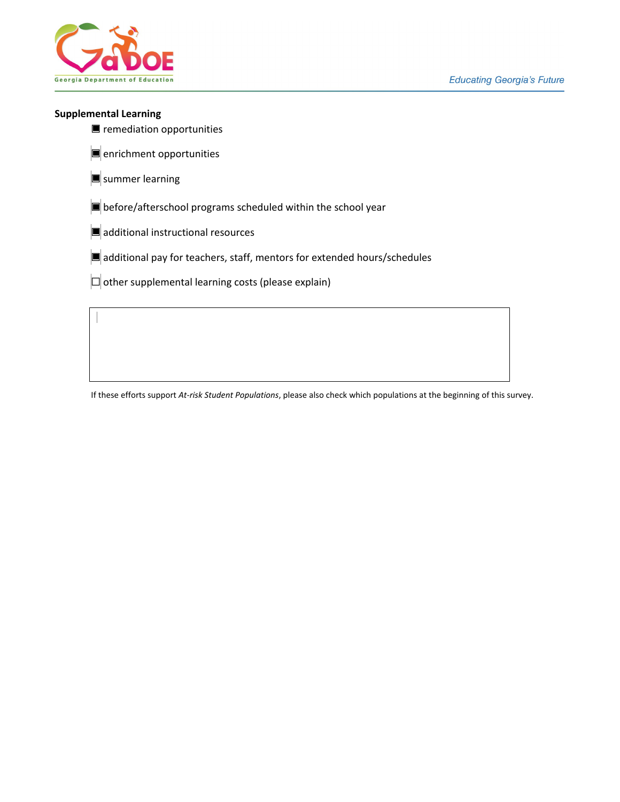

#### **Supplemental Learning**

- remediation opportunities
- **■** enrichment opportunities
- **■** summer learning
- ☐ before/afterschool programs scheduled within the school year
- $\Box$  additional instructional resources
- ☐ additional pay for teachers, staff, mentors for extended hours/schedules
- $\Box$  other supplemental learning costs (please explain)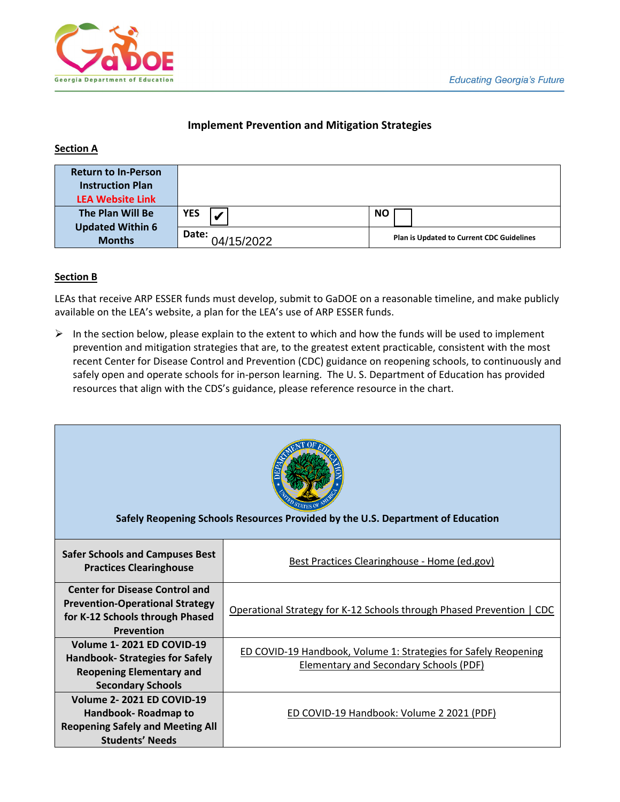

# **Implement Prevention and Mitigation Strategies**

# **Section A**

| <b>Return to In-Person</b><br><b>Instruction Plan</b> |                     |                                                  |
|-------------------------------------------------------|---------------------|--------------------------------------------------|
| <b>LEA Website Link</b>                               |                     |                                                  |
| The Plan Will Be<br><b>Updated Within 6</b>           | YES                 | <b>NO</b>                                        |
| <b>Months</b>                                         | Date:<br>04/15/2022 | <b>Plan is Updated to Current CDC Guidelines</b> |

## **Section B**

LEAs that receive ARP ESSER funds must develop, submit to GaDOE on a reasonable timeline, and make publicly available on the LEA's website, a plan for the LEA's use of ARP ESSER funds.

 $\triangleright$  In the section below, please explain to the extent to which and how the funds will be used to implement prevention and mitigation strategies that are, to the greatest extent practicable, consistent with the most recent Center for Disease Control and Prevention (CDC) guidance on reopening schools, to continuously and safely open and operate schools for in-person learning. The U. S. Department of Education has provided resources that align with the CDS's guidance, please reference resource in the chart.

| Safely Reopening Schools Resources Provided by the U.S. Department of Education                                                    |                                                                                                                  |  |  |  |  |  |  |  |  |  |
|------------------------------------------------------------------------------------------------------------------------------------|------------------------------------------------------------------------------------------------------------------|--|--|--|--|--|--|--|--|--|
| <b>Safer Schools and Campuses Best</b><br><b>Practices Clearinghouse</b>                                                           | Best Practices Clearinghouse - Home (ed.gov)                                                                     |  |  |  |  |  |  |  |  |  |
| <b>Center for Disease Control and</b><br><b>Prevention-Operational Strategy</b><br>for K-12 Schools through Phased<br>Prevention   | Operational Strategy for K-12 Schools through Phased Prevention   CDC                                            |  |  |  |  |  |  |  |  |  |
| Volume 1-2021 ED COVID-19<br><b>Handbook- Strategies for Safely</b><br><b>Reopening Elementary and</b><br><b>Secondary Schools</b> | ED COVID-19 Handbook, Volume 1: Strategies for Safely Reopening<br><b>Elementary and Secondary Schools (PDF)</b> |  |  |  |  |  |  |  |  |  |
| Volume 2-2021 ED COVID-19<br>Handbook-Roadmap to<br><b>Reopening Safely and Meeting All</b><br><b>Students' Needs</b>              | ED COVID-19 Handbook: Volume 2 2021 (PDF)                                                                        |  |  |  |  |  |  |  |  |  |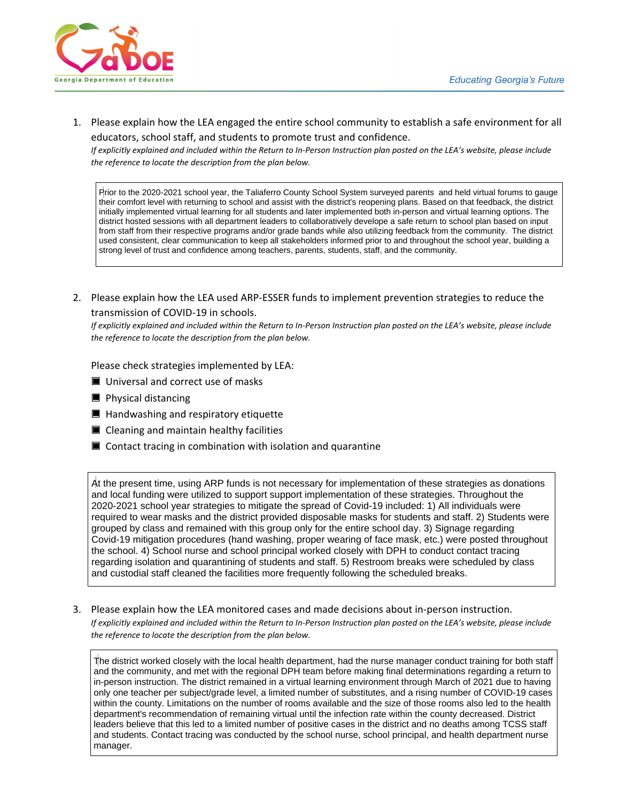

1. Please explain how the LEA engaged the entire school community to establish a safe environment for all educators, school staff, and students to promote trust and confidence.

*If explicitly explained and included within the Return to In-Person Instruction plan posted on the LEA's website, please include the reference to locate the description from the plan below.*

Prior to the 2020-2021 school year, the Taliaferro County School System surveyed parents and held virtual forums to gauge their comfort level with returning to school and assist with the district's reopening plans. Based on that feedback, the district initially implemented virtual learning for all students and later implemented both in-person and virtual learning options. The district hosted sessions with all department leaders to collaboratively develope a safe return to school plan based on input from staff from their respective programs and/or grade bands while also utilizing feedback from the community. The district used consistent, clear communication to keep all stakeholders informed prior to and throughout the school year, building a strong level of trust and confidence among teachers, parents, students, staff, and the community.

2. Please explain how the LEA used ARP-ESSER funds to implement prevention strategies to reduce the transmission of COVID-19 in schools.

*If explicitly explained and included within the Return to In-Person Instruction plan posted on the LEA's website, please include the reference to locate the description from the plan below.*

Please check strategies implemented by LEA:

- Universal and correct use of masks
- **■** Physical distancing
- **Handwashing and respiratory etiquette**
- Cleaning and maintain healthy facilities
- $\blacksquare$  Contact tracing in combination with isolation and quarantine

At the present time, using ARP funds is not necessary for implementation of these strategies as donations and local funding were utilized to support support implementation of these strategies. Throughout the 2020-2021 school year strategies to mitigate the spread of Covid-19 included: 1) All individuals were required to wear masks and the district provided disposable masks for students and staff. 2) Students were grouped by class and remained with this group only for the entire school day. 3) Signage regarding Covid-19 mitigation procedures (hand washing, proper wearing of face mask, etc.) were posted throughout the school. 4) School nurse and school principal worked closely with DPH to conduct contact tracing regarding isolation and quarantining of students and staff. 5) Restroom breaks were scheduled by class and custodial staff cleaned the facilities more frequently following the scheduled breaks.

3. Please explain how the LEA monitored cases and made decisions about in-person instruction. *If explicitly explained and included within the Return to In-Person Instruction plan posted on the LEA's website, please include the reference to locate the description from the plan below.*

The district worked closely with the local health department, had the nurse manager conduct training for both staff and the community, and met with the regional DPH team before making final determinations regarding a return to in-person instruction. The district remained in a virtual learning environment through March of 2021 due to having only one teacher per subject/grade level, a limited number of substitutes, and a rising number of COVID-19 cases within the county. Limitations on the number of rooms available and the size of those rooms also led to the health department's recommendation of remaining virtual until the infection rate within the county decreased. District leaders believe that this led to a limited number of positive cases in the district and no deaths among TCSS staff and students. Contact tracing was conducted by the school nurse, school principal, and health department nurse manager.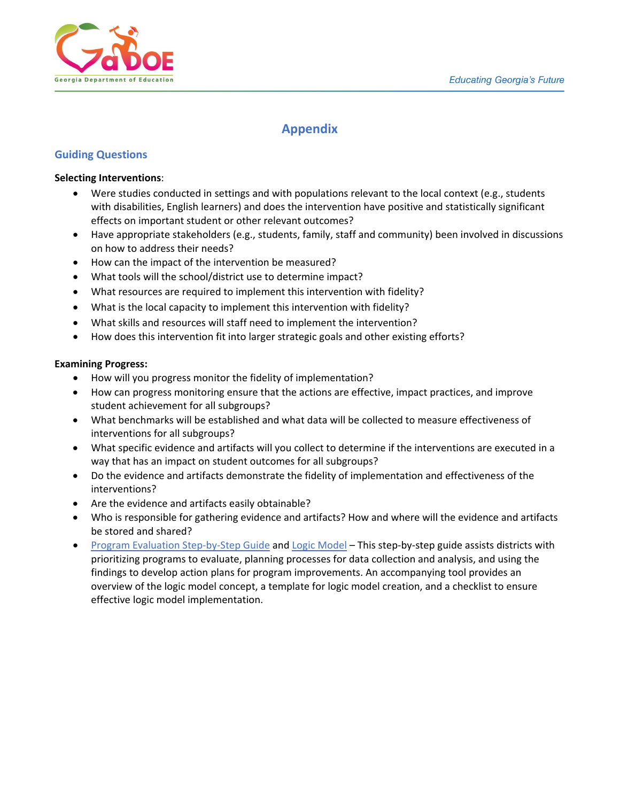

# **Appendix**

## **Guiding Questions**

#### <span id="page-16-0"></span>**Selecting Interventions**:

- Were studies conducted in settings and with populations relevant to the local context (e.g., students with disabilities, English learners) and does the intervention have positive and statistically significant effects on important student or other relevant outcomes?
- Have appropriate stakeholders (e.g., students, family, staff and community) been involved in discussions on how to address their needs?
- How can the impact of the intervention be measured?
- What tools will the school/district use to determine impact?
- What resources are required to implement this intervention with fidelity?
- What is the local capacity to implement this intervention with fidelity?
- What skills and resources will staff need to implement the intervention?
- How does this intervention fit into larger strategic goals and other existing efforts?

## <span id="page-16-1"></span>**Examining Progress:**

- How will you progress monitor the fidelity of implementation?
- How can progress monitoring ensure that the actions are effective, impact practices, and improve student achievement for all subgroups?
- What benchmarks will be established and what data will be collected to measure effectiveness of interventions for all subgroups?
- What specific evidence and artifacts will you collect to determine if the interventions are executed in a way that has an impact on student outcomes for all subgroups?
- Do the evidence and artifacts demonstrate the fidelity of implementation and effectiveness of the interventions?
- Are the evidence and artifacts easily obtainable?
- Who is responsible for gathering evidence and artifacts? How and where will the evidence and artifacts be stored and shared?
- [Program Evaluation Step-by-Step Guide](https://insights.hanoverresearch.com/e2t/tc/VWHbx92NR9z0W8phn7q3gkr5VW178YCN4rd7CvN7bK2ZZ5nxG7V3Zsc37CgD2DN4NcMh6x7BPGW4CrGrC3zMZvcMH1vzylffx9N8rRkc619SgFW93KJXX49PvJvN81J4w-FVKB3W1kvDqj4Y_000W6T12My8HKmpbW8vq_9L7H1WLKVgDG6F4wHMTCW8NyxZN3-WyZmW54VTkf7HyrmhW3d-NpL53BJr4W16NMnh5dJ4TjW7SL9zw9fHXgcN7nN9HckLtqBW5brL2R90Yv9yN6p5Ff4zj8zJW7dcTf94-CqK8N57b0kWbgch0W56xgrr8pWWlFW8QZCqc8ZMQnCW6gttrv5SfWRXW75dBrJ1MM3mWW1py-p767C7x2V4sd3n6Nc_9LW4qv-RK8xkgQPW7zlD_T8tk1stN4v7dGS8cGT_W8kwtdb7mvDbgW8hQRmv1GVQKVW3kG3wj47WcwN3gzR1) and [Logic Model](https://insights.hanoverresearch.com/e2t/tc/VWHbx92NR9z0W8phn7q3gkr5VW178YCN4rd7CvN7bK2-f5nxGrV3Zsc37CgZK1W349xRb4wgpKJW8_FWBN8CgghlW5pn_2n4f0X0LW71xB-Z273K8_W7v_kD62xyQBWW1VGkcN7nNbnyW24wjX790BvYlW3XgM5F2gkZFXN2Jg2Xr6zx5yW19LpcK2qyGM9W5NxD933rJpk4VWpLnQ4l9qC7N8wjSW3ZG3HxW5xWDHw1PcWSzW71MSkL4bG_YbW5qxDJ680ns3hW4rsxP-7KrCfKW3977vw8MFZbZN1M5Mbx8qH4xW7gtQH7662JXVW2Q374c1cD_72W7TySvg4dnSBkW52Plv12xn-MsW3mqJ-L1WSfd_VFv2hq6B1338W86LL612K612ZW4XsF_964jGgfW4J-KZR1tQF2FW4STkMg1ySZr-VyXJJz58MpKSW337jcf4yGG9yW2lN3q_1VcnBMW5dy-l71x71psW3dBmQc70BLsb3djH1) This step-by-step guide assists districts with prioritizing programs to evaluate, planning processes for data collection and analysis, and using the findings to develop action plans for program improvements. An accompanying tool provides an overview of the logic model concept, a template for logic model creation, and a checklist to ensure effective logic model implementation.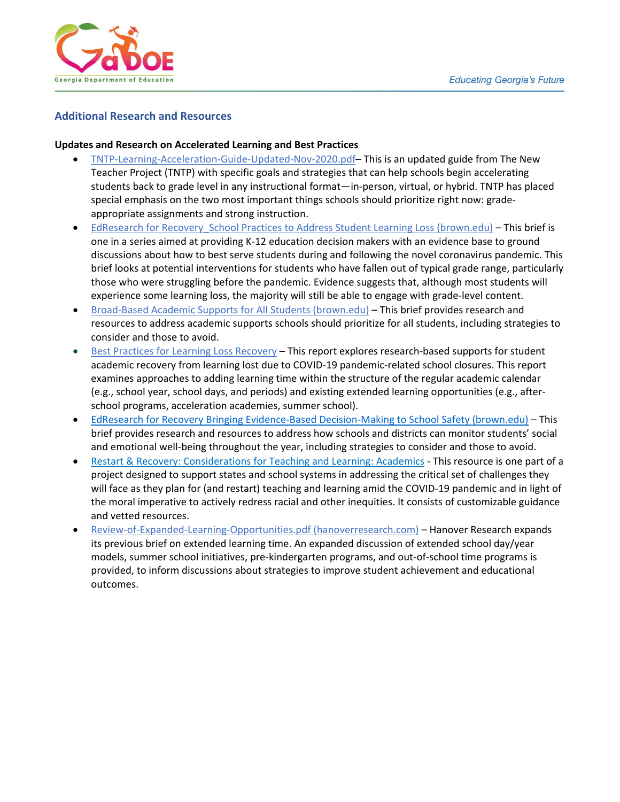

# **Additional Research and Resources**

#### **Updates and Research on Accelerated Learning and Best Practices**

- [TNTP-Learning-Acceleration-Guide-Updated-Nov-2020.pdf–](https://tntp.org/assets/covid-19-toolkit-resources/TNTP-Learning-Acceleration-Guide-Updated-Nov-2020.pdf) This is an updated guide from The New Teacher Project (TNTP) with specific goals and strategies that can help schools begin accelerating students back to grade level in any instructional format—in-person, virtual, or hybrid. TNTP has placed special emphasis on the two most important things schools should prioritize right now: gradeappropriate assignments and strong instruction.
- EdResearch for Recovery School Practices to Address Student Learning Loss (brown.edu) This brief is one in a series aimed at providing K-12 education decision makers with an evidence base to ground discussions about how to best serve students during and following the novel coronavirus pandemic. This brief looks at potential interventions for students who have fallen out of typical grade range, particularly those who were struggling before the pandemic. Evidence suggests that, although most students will experience some learning loss, the majority will still be able to engage with grade-level content.
- [Broad-Based Academic Supports for All Students \(brown.edu\)](https://annenberg.brown.edu/sites/default/files/EdResearch_for_Recovery_Brief_6.pdf)  This brief provides research and resources to address academic supports schools should prioritize for all students, including strategies to consider and those to avoid.
- [Best Practices for Learning Loss Recovery](https://insights.hanoverresearch.com/e2t/tc/VWHbx92NR9z0W8phn7q3gkr5VW178YCN4rd7CvN7bK2ZZ5nxG7V3Zsc37CgYktW88VQqQ6FfQHjW470wNf1x47S6W4fNfcn5z59yMW3fv2Yh2SwT2wN91YThT2wbvBW3pvXb55f1_8yW2hFWff1_yrf8W8WJX-P76bQHxW599VN41dM6pwW2K54kh5NBSbDW94N7VT5wfCMDW1K7Q6k1KMczhW5ssnTL829Cl4W1d8dff4Pyrt0W3Tm7r45QKmTdW3Y808Y5T9VJQW3PfbC62hTHr-VwVd8F556NTSW1dNtRg6ZTYmyW660K4_4fT02HVZmwYF7dwJ3wW4pfnCz9h1QFXW8MK4DK6x5NbnVW1xg18_s-CsW8YvgD57RpM_bW6WBXvs1ZV0PKW8-yvkj5CDZtcN7vjWfyFWbL_N470_RQCmJRKW4-y1r24R5M1BW1BK-L-1RWQn-W93vLsN6cd57R3bpR1) This report explores research-based supports for student academic recovery from learning lost due to COVID-19 pandemic-related school closures. This report examines approaches to adding learning time within the structure of the regular academic calendar (e.g., school year, school days, and periods) and existing extended learning opportunities (e.g., afterschool programs, acceleration academies, summer school).
- EdResearch for Recovery Bringing [Evidence-Based Decision-Making to School Safety \(brown.edu\)](https://annenberg.brown.edu/sites/default/files/EdResearch_for_Recovery_Brief_13.pdf) This brief provides research and resources to address how schools and districts can monitor students' social and emotional well-being throughout the year, including strategies to consider and those to avoid.
- [Restart & Recovery: Considerations for Teaching and Learning: Academics -](https://docs.google.com/document/d/1FxPr0l3P1LsKqy0wr231c_zTYJSuMSYO27rmAXYExEU/edit#heading=h.20txcuddpy5s) This resource is one part of a project designed to support states and school systems in addressing the critical set of challenges they will face as they plan for (and restart) teaching and learning amid the COVID-19 pandemic and in light of the moral imperative to actively redress racial and other inequities. It consists of customizable guidance and vetted resources.
- <span id="page-17-0"></span>• [Review-of-Expanded-Learning-Opportunities.pdf \(hanoverresearch.com\)](https://www.hanoverresearch.com/media/Review-of-Expanded-Learning-Opportunities.pdf) – Hanover Research expands its previous brief on extended learning time. An expanded discussion of extended school day/year models, summer school initiatives, pre-kindergarten programs, and out-of-school time programs is provided, to inform discussions about strategies to improve student achievement and educational outcomes.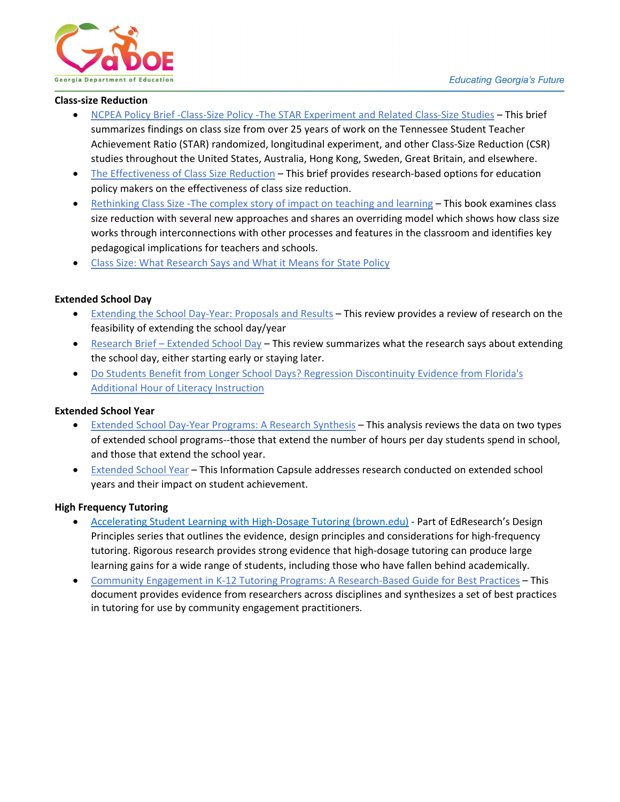

#### **Class-size Reduction**

- [NCPEA Policy Brief -Class-Size Policy -The STAR Experiment and Related Class-Size Studies –](https://files.eric.ed.gov/fulltext/ED540485.pdf) This brief summarizes findings on class size from over 25 years of work on the Tennessee Student Teacher Achievement Ratio (STAR) randomized, longitudinal experiment, and other Class-Size Reduction (CSR) studies throughout the United States, Australia, Hong Kong, Sweden, Great Britain, and elsewhere.
- [The Effectiveness of Class Size Reduction](https://nepc.colorado.edu/sites/default/files/publications/Mathis%20RBOPM-9%20Class%20Size.pdf)  This brief provides research-based options for education policy makers on the effectiveness of class size reduction.
- Rethinking Class Size -The complex story of impact on teaching and learning This book examines class size reduction with several new approaches and shares an overriding model which shows how class size works through interconnections with other processes and features in the classroom and identifies key pedagogical implications for teachers and schools.
- [Class Size: What Research Says and What it Means for State Policy](https://www.brookings.edu/research/class-size-what-research-says-and-what-it-means-for-state-policy/)

#### <span id="page-18-0"></span>**Extended School Day**

- [Extending the School Day-Year: Proposals and Results](https://files.eric.ed.gov/fulltext/ED321374.pdf)  This review provides a review of research on the feasibility of extending the school day/year
- [Research Brief Extended School Day –](https://files.eric.ed.gov/fulltext/ED537590.pdf) This review summarizes what the research says about extending the school day, either starting early or staying later.
- [Do Students Benefit from Longer School Days? Regression Discontinuity Evidence from Florida's](https://files.eric.ed.gov/fulltext/ED591819.pdf)  [Additional Hour of Literacy Instruction](https://files.eric.ed.gov/fulltext/ED591819.pdf)

#### <span id="page-18-1"></span>**Extended School Year**

- [Extended School Day-Year Programs: A Research Synthesis](https://files.eric.ed.gov/fulltext/ED461695.pdf) This analysis reviews the data on two types of extended school programs--those that extend the number of hours per day students spend in school, and those that extend the school year.
- [Extended School Year](https://files.eric.ed.gov/fulltext/ED544703.pdf) This Information Capsule addresses research conducted on extended school years and their impact on student achievement.

#### <span id="page-18-2"></span>**High Frequency Tutoring**

- [Accelerating Student Learning with High-Dosage Tutoring \(brown.edu\)](https://annenberg.brown.edu/sites/default/files/EdResearch_for_Recovery_Design_Principles_1.pdf)  Part of EdResearch's Design Principles series that outlines the evidence, design principles and considerations for high-frequency tutoring. Rigorous research provides strong evidence that high-dosage tutoring can produce large learning gains for a wide range of students, including those who have fallen behind academically.
- <span id="page-18-3"></span>• [Community Engagement in K-12 Tutoring Programs: A Research-Based Guide for Best Practices](https://files.eric.ed.gov/fulltext/EJ1123811.pdf) – This document provides evidence from researchers across disciplines and synthesizes a set of best practices in tutoring for use by community engagement practitioners.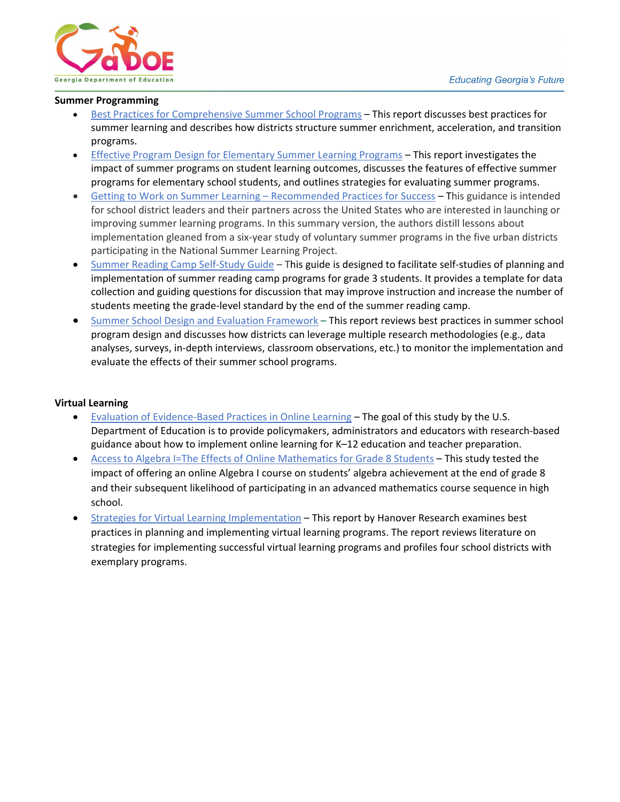

#### **Summer Programming**

- [Best Practices for Comprehensive Summer School Programs](https://insights.hanoverresearch.com/e2t/tc/VWHbx92NR9z0W8phn7q3gkr5VW178YCN4rd7CvN7bK2-f5nxGrV3Zsc37CgM7TW7WxtsC5N1p0qW5RL1j12l_sDZW8LZ0Pf9j_Xh-W3J0jlg6QKK_mW1tbmhx8NFqcLVzqLjD19JNPnW2YF7-r2gRVpPMgcyhfD6RLcW84H3nR5hRBw7W7KJ7Ky7kd0NKW4tdwdF8PnhpxVKwqBD18-hXQW4tDYf79l3FRrN5bSG7Y8kb2yM2v3n02gtqCM83dlhh-n1zW8dDW-w7hpNcXW8tMFMc1yYCsGW3qT-mm8V0DK5W4b4g5c7-yzx1W4Bkpm31-DpyQW4h111k5PqJp0W6HvyR03K3-8YW2GBm2Q4cJj5cW1gPfqT83kSgBW5Rb7Lh1qXTj6W4Tcyfj1jtb2BW5bpBcS89jK9gW7p1CLy4RNHZ6W8fP_T77qyW8GW3--GZp8bKCBSW7xQKKf7mr-bqW4BzJvh5zwQ12VKMjrM39GbXJ3js81) This report discusses best practices for summer learning and describes how districts structure summer enrichment, acceleration, and transition programs.
- [Effective Program Design for Elementary Summer Learning Programs](https://insights.hanoverresearch.com/e2t/tc/VWHbx92NR9z0W8phn7q3gkr5VW178YCN4rd7CvN7bK2-f5nxGrV3Zsc37CgQd5W1BsYKm7gyPrYW27B-Sg6whR6xN1CRYwk1rFbGW8wXCHN6sd8FKW41rcNJ2-WMWXW2LYxWb6GmR42N7rt5bnxP5wJN6YDZ0Ycp9WQW3689f05j5Kc0W1MwCBF7b5-RHW3S0KWr4ktl45W3PBYX019QNgvW3cWZc22SL_bYW5wm9p1933P2VN5565pgSgDgVW8Gx4Gz6vwk1DW46qsy66VX20MW9hL2q16kx3G8W1nFwKs3Wq2YWW58BhF06PsLYKN4Y_y-WXDyx_W7tjTb_2Vxz8WN7YVC5pwM8LsW2qzRzh2xcp0bW8XF7DJ5tr6zVW6vP9y68Jv33RW7xfZP8127bp-W1DqfgN26QV2bVt3YrH93_FrwW1vB1XL44TzMYW7XGZXS1KfwzcW4QQ6pq38-WkHW2-v60l4XgCJrN3LLlDQzQDYJ3dHD1) This report investigates the impact of summer programs on student learning outcomes, discusses the features of effective summer programs for elementary school students, and outlines strategies for evaluating summer programs.
- [Getting to Work on Summer Learning Recommended Practices for Success –](https://www.rand.org/pubs/research_reports/RRA205-3.html) This guidance is intended for school district leaders and their partners across the United States who are interested in launching or improving summer learning programs. In this summary version, the authors distill lessons about implementation gleaned from a six-year study of voluntary summer programs in the five urban districts participating in the National Summer Learning Project.
- [Summer Reading Camp Self-Study Guide](https://ies.ed.gov/ncee/edlabs/projects/project.asp?projectID=463)  This guide is designed to facilitate self-studies of planning and implementation of summer reading camp programs for grade 3 students. It provides a template for data collection and guiding questions for discussion that may improve instruction and increase the number of students meeting the grade-level standard by the end of the summer reading camp.
- <span id="page-19-0"></span>• [Summer School Design and Evaluation Framework](https://insights.hanoverresearch.com/e2t/tc/VWHbx92NR9z0W8phn7q3gkr5VW178YCN4rd7CvN7bK2ZZ5nxG7V3Zsc37CgYJ0W975kCk7llPlPW9gf4zL3xDqXcW7s7tMP5w4KWgW1zS8h615_F4YW8QJPRy14zVn0V_v3BD8b45zwW1mKHbw74CG84W5g5gkk14x19pW2QLq2Y5XL5T6W5mS3kn72J05SW5NxslX7g9QtvW5L1PJB6R7YQCW90TwqF8pVZ_tW6HrR_-7nkwhxW6XPxc18XZRl_W11xBGK8pfyMWW4WfVsR1HqXgGW6hv7ZY5FKF2MN2-5rLdzDqkDW6FPSfH1YLgpzW3xSz4G7z9rWsN1DlQDFvwHTcW1CCKfv6ZQ4TSW3q3rpx5-qnRdW7xYS971m7JMxN1PSNDMfDVPtW1BKHpG64LVttW8R2xKn2Hx6wNW669R7V2gygstN5Q5fTK61HLLW60pSkM87DwycW1P9Ntq60zF1h36fB1) – This report reviews best practices in summer school program design and discusses how districts can leverage multiple research methodologies (e.g., data analyses, surveys, in-depth interviews, classroom observations, etc.) to monitor the implementation and evaluate the effects of their summer school programs.

#### **Virtual Learning**

- Evaluation [of Evidence-Based Practices in Online Learning](https://www2.ed.gov/rschstat/eval/tech/evidence-based-practices/finalreport.pdf) The goal of this study by the U.S. Department of Education is to provide policymakers, administrators and educators with research-based guidance about how to implement online learning for K–12 education and teacher preparation.
- [Access to Algebra I=The Effects of Online Mathematics for Grade](https://files.eric.ed.gov/fulltext/ED527394.pdf) 8 Students This study tested the impact of offering an online Algebra I course on students' algebra achievement at the end of grade 8 and their subsequent likelihood of participating in an advanced mathematics course sequence in high school.
- [Strategies for Virtual Learning Implementation](https://www.hanoverresearch.com/media/Strategies-for-Virtual-Learning-Implementation.pdf)  This report by Hanover Research examines best practices in planning and implementing virtual learning programs. The report reviews literature on strategies for implementing successful virtual learning programs and profiles four school districts with exemplary programs.